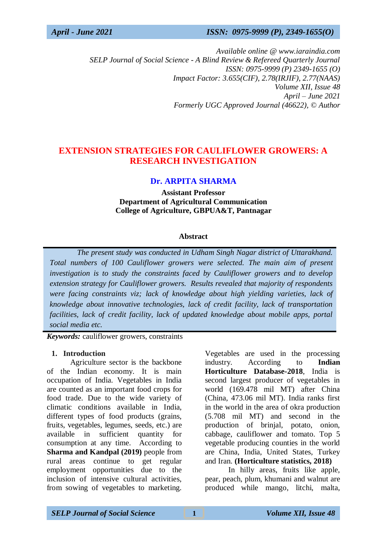*April - June 2021 ISSN: 0975-9999 (P), 2349-1655(O)*

*Available online @ www.iaraindia.com SELP Journal of Social Science - A Blind Review & Refereed Quarterly Journal ISSN: 0975-9999 (P) 2349-1655 (O) Impact Factor: 3.655(CIF), 2.78(IRJIF), 2.77(NAAS) Volume XII, Issue 48 April – June 2021 Formerly UGC Approved Journal (46622),* © *Author*

# **EXTENSION STRATEGIES FOR CAULIFLOWER GROWERS: A RESEARCH INVESTIGATION**

## **Dr. ARPITA SHARMA**

**Assistant Professor Department of Agricultural Communication College of Agriculture, GBPUA&T, Pantnagar**

#### **Abstract**

 *The present study was conducted in Udham Singh Nagar district of Uttarakhand. Total numbers of 100 Cauliflower growers were selected. The main aim of present investigation is to study the constraints faced by Cauliflower growers and to develop extension strategy for Cauliflower growers. Results revealed that majority of respondents were facing constraints viz; lack of knowledge about high yielding varieties, lack of knowledge about innovative technologies, lack of credit facility, lack of transportation facilities, lack of credit facility, lack of updated knowledge about mobile apps, portal social media etc.*

*Keywords:* cauliflower growers, constraints

#### **1. Introduction**

Agriculture sector is the backbone of the Indian economy. It is main occupation of India. Vegetables in India are counted as an important food crops for food trade. Due to the wide variety of climatic conditions available in India, different types of food products (grains, fruits, vegetables, legumes, seeds, etc.) are available in sufficient quantity for consumption at any time. According to **Sharma and Kandpal (2019)** people from rural areas continue to get regular employment opportunities due to the inclusion of intensive cultural activities, from sowing of vegetables to marketing.

Vegetables are used in the processing industry. According to **Indian Horticulture Database-2018**, India is second largest producer of vegetables in world (169.478 mil MT) after China (China, 473.06 mil MT). India ranks first in the world in the area of okra production (5.708 mil MT) and second in the production of brinjal, potato, onion, cabbage, cauliflower and tomato. Top 5 vegetable producing counties in the world are China, India, United States, Turkey and Iran. **(Horticulture statistics, 2018)**

In hilly areas, fruits like apple, pear, peach, plum, khumani and walnut are produced while mango, litchi, malta,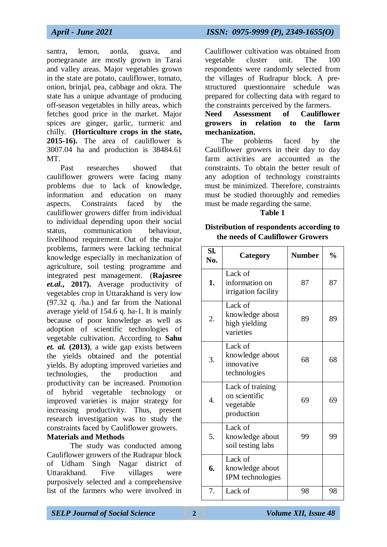*April - June 2021 ISSN: 0975-9999 (P), 2349-1655(O)*

santra, lemon, aonla, guava, and pomegranate are mostly grown in Tarai and valley areas. Major vegetables grown in the state are potato, cauliflower, tomato, onion, brinjal, pea, cabbage and okra. The state has a unique advantage of producing off-season vegetables in hilly areas, which fetches good price in the market. Major spices are ginger, garlic, turmeric and chilly. **(Horticulture crops in the state, 2015-16).** The area of cauliflower is 3007.04 ha and production is 38484.61 MT.

 Past researches showed that cauliflower growers were facing many problems due to lack of knowledge, information and education on many aspects. Constraints faced by the cauliflower growers differ from individual to individual depending upon their social status, communication behaviour, livelihood requirement. Out of the major problems, farmers were lacking technical knowledge especially in mechanization of agriculture, soil testing programme and integrated pest management. (**Rajasree** *et.al.***, 2017).** Average productivity of vegetables crop in Uttarakhand is very low (97.32 q. /ha.) and far from the National average yield of 154.6 q. ha-1. It is mainly because of poor knowledge as well as adoption of scientific technologies of vegetable cultivation. According to **Sahu** *et. al.* **(2013)**, a wide gap exists between the yields obtained and the potential yields. By adopting improved varieties and technologies, the production and productivity can be increased. Promotion of hybrid vegetable technology or improved varieties is major strategy for increasing productivity. Thus, present research investigation was to study the constraints faced by Cauliflower growers.

## **Materials and Methods**

The study was conducted among Cauliflower growers of the Rudrapur block of Udham Singh Nagar district of Uttarakhand. Five villages were purposively selected and a comprehensive list of the farmers who were involved in

Cauliflower cultivation was obtained from vegetable cluster unit. The 100 respondents were randomly selected from the villages of Rudrapur block. A prestructured questionnaire schedule was prepared for collecting data with regard to the constraints perceived by the farmers.

## **Need Assessment of Cauliflower growers in relation to the farm mechanization.**

 The problems faced by the Cauliflower growers in their day to day farm activities are accounted as the constraints. To obtain the better result of any adoption of technology constraints must be minimized. Therefore, constraints must be studied thoroughly and remedies must be made regarding the same.

### **Table 1**

## **Distribution of respondents according to the needs of Cauliflower Growers**

| Sl.<br>No. | Category                                                     | <b>Number</b> | $\frac{0}{0}$ |
|------------|--------------------------------------------------------------|---------------|---------------|
| 1.         | Lack of<br>information on<br>irrigation facility             | 87            | 87            |
| 2.         | Lack of<br>knowledge about<br>high yielding<br>varieties     | 89            | 89            |
| 3.         | Lack of<br>knowledge about<br>innovative<br>technologies     | 68            | 68            |
| 4.         | Lack of training<br>on scientific<br>vegetable<br>production | 69            | 69            |
| 5.         | Lack of<br>knowledge about<br>soil testing labs              | 99            | 99            |
| 6.         | Lack of<br>knowledge about<br>IPM technologies               |               |               |
| 7.         | Lack of                                                      | 98            | 98            |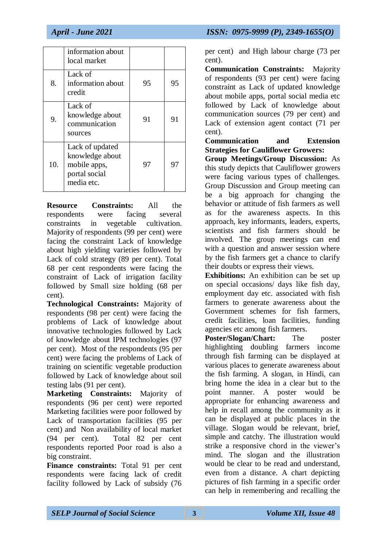|     | information about<br>local market                                                 |    |    |
|-----|-----------------------------------------------------------------------------------|----|----|
| 8.  | Lack of<br>information about<br>credit                                            | 95 | 95 |
| 9.  | Lack of<br>knowledge about<br>communication<br>sources                            | 91 | 91 |
| 10. | Lack of updated<br>knowledge about<br>mobile apps,<br>portal social<br>media etc. | 97 | 97 |

**Resource Constraints:** All the respondents were facing several constraints in vegetable cultivation. Majority of respondents (99 per cent) were facing the constraint Lack of knowledge about high yielding varieties followed by Lack of cold strategy (89 per cent). Total 68 per cent respondents were facing the constraint of Lack of irrigation facility followed by Small size holding (68 per cent).

**Technological Constraints:** Majority of respondents (98 per cent) were facing the problems of Lack of knowledge about innovative technologies followed by Lack of knowledge about IPM technologies (97 per cent). Most of the respondents (95 per cent) were facing the problems of Lack of training on scientific vegetable production followed by Lack of knowledge about soil testing labs (91 per cent).

**Marketing Constraints:** Majority of respondents (96 per cent) were reported Marketing facilities were poor followed by Lack of transportation facilities (95 per cent) and Non availability of local market (94 per cent). Total 82 per cent respondents reported Poor road is also a big constraint.

**Finance constraints:** Total 91 per cent respondents were facing lack of credit facility followed by Lack of subsidy (76

per cent) and High labour charge (73 per cent).

**Communication Constraints:** Majority of respondents (93 per cent) were facing constraint as Lack of updated knowledge about mobile apps, portal social media etc followed by Lack of knowledge about communication sources (79 per cent) and Lack of extension agent contact (71 per cent).

## **Communication and Extension Strategies for Cauliflower Growers:**

**Group Meetings/Group Discussion:** As this study depicts that Cauliflower growers were facing various types of challenges. Group Discussion and Group meeting can be a big approach for changing the behavior or attitude of fish farmers as well as for the awareness aspects. In this approach, key informants, leaders, experts, scientists and fish farmers should be involved. The group meetings can end with a question and answer session where by the fish farmers get a chance to clarify their doubts or express their views.

**Exhibitions:** An exhibition can be set up on special occasions/ days like fish day, employment day etc. associated with fish farmers to generate awareness about the Government schemes for fish farmers, credit facilities, loan facilities, funding agencies etc among fish farmers.

**Poster/Slogan/Chart:** The poster highlighting doubling farmers income through fish farming can be displayed at various places to generate awareness about the fish farming. A slogan, in Hindi, can bring home the idea in a clear but to the point manner. A poster would be appropriate for enhancing awareness and help in recall among the community as it can be displayed at public places in the village. Slogan would be relevant, brief, simple and catchy. The illustration would strike a responsive chord in the viewer's mind. The slogan and the illustration would be clear to be read and understand, even from a distance. A chart depicting pictures of fish farming in a specific order can help in remembering and recalling the